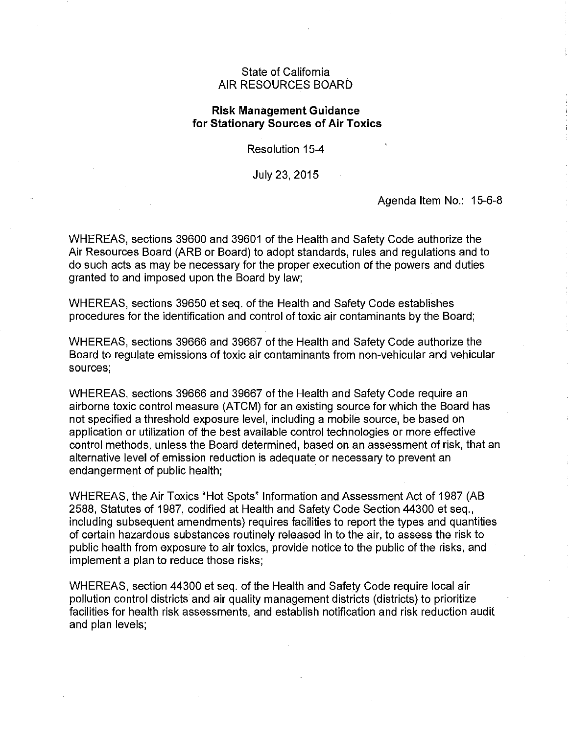## State of California AIR RESOURCES BOARD

## **Risk Management Guidance for Stationary Sources of Air Toxics**

Resolution 15-4

July 23, 2015

Agenda Item No.: 15-6-8

WHEREAS, sections 39600 and 39601 of the Health and Safety Code authorize the Air Resources Board (ARB or Board) to adopt standards, rules and regulations and to do such acts as may be necessary for the proper execution of the powers and duties granted to and imposed upon the Board by law;

WHEREAS, sections 39650 et seq. of the Health and Safely Code establishes procedures for the identification and control of toxic air contaminants by the Board;

WHEREAS, sections 39666 and 39667 of the Health and Safety Code authorize the Board to regulate emissions of toxic air contaminants from non-vehicular and vehicular sources;

WHEREAS, sections 39666 and 39667 of the Health and Safety Code require an airborne toxic control measure (ATCM) for an existing source for which the Board has not specified a threshold exposure level, including a mobile source, be based on application or utilization of the best available control technologies or more effective control methods, unless the Board determined, based on an assessment of risk, that an alternative level of emission reduction is adequate or necessary to prevent an endangerment of public health;

WHEREAS, the Air Toxics "Hot Spots" Information and Assessment Act of 1987 (AB 2588, Statutes of 1987, codified at Health and Safety Code Section 44300 et seq., including subsequent amendments) requires facilities to report the types and quantities of certain hazardous substances routinely released in to the air, to assess the risk to public health from exposure to air toxics, provide notice to the public of the risks, and implement a plan to reduce those risks;

WHEREAS, section 44300 et seq. of the Health and Safety Code require local air pollution control districts and air quality management districts (districts) to prioritize facilities for health risk assessments, and establish notification and risk reduction audit and plan levels;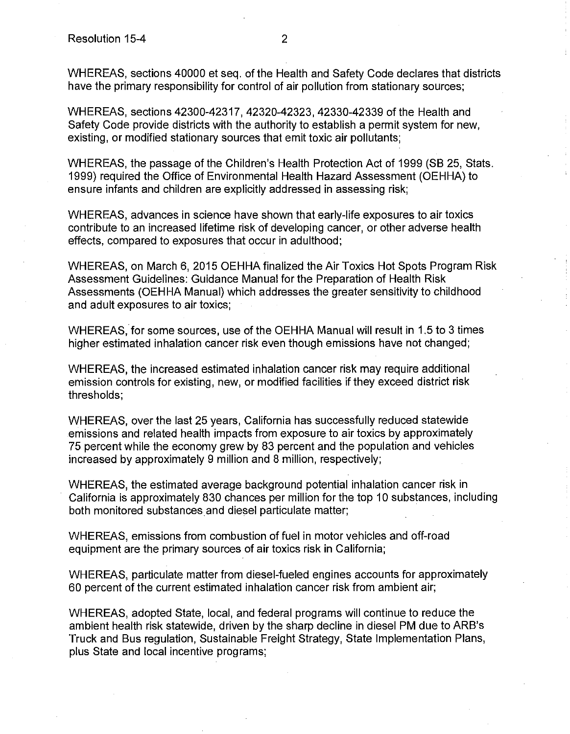WHEREAS, sections 40000 et seq. of the Health and Safety Code declares that districts have the primary responsibility for control of air pollution from stationary sources;

WHEREAS, sections 42300-42317, 42320-42323, 42330-42339 of the Health and Safety Code provide districts with the authority to establish a permit system for new, existing, or modified stationary sources that emit toxic air pollutants;

WHEREAS, the passage of the Children's Health Protection Act of 1999 (SB 25, Stats. 1999) required the Office of Environmental Health Hazard Assessment (OEHHA) to ensure infants and children are explicitly addressed in assessing risk;

WHEREAS, advances in science have shown that early-life exposures to air toxics contribute to an increased lifetime risk of developing cancer, or other adverse health effects, compared to exposures that occur in adulthood;

WHEREAS, on March 6, 2015 OEHHA finalized the Air Toxics Hot Spots Program Risk Assessment Guidelines: Guidance Manual for the Preparation of Health Risk Assessments (OEHHA Manual) which addresses the greater sensitivity to childhood and adult exposures to air toxics;

WHEREAS, for some sources, use of the OEHHA Manual will result in 1.5 to 3 times higher estimated inhalation cancer risk even though emissions have not changed;

WHEREAS, the increased estimated inhalation cancer risk may require additional emission controls for existing, new, or modified facilities if they exceed district risk thresholds;

WHEREAS, over the last 25 years, California has successfully reduced statewide emissions and related health impacts from exposure to air toxics by approximately 75 percent while the economy grew by 83 percent and the population and vehicles increased by approximately 9 million and 8 million, respectively;

WHEREAS, the estimated average background potential inhalation cancer risk in California is approximately 830 chances per million for the top 10 substances, including both monitored substances and diesel particulate matter;

WHEREAS, emissions from combustion of fuel in motor vehicles and off-road equipment are the primary sources of air toxics risk in California;

WHEREAS, particulate matter from diesel-fueled engines accounts for approximately 60 percent of the current estimated inhalation cancer risk from ambient air;

WHEREAS, adopted State, local, and federal programs will continue to reduce the ambient health risk statewide, driven by the sharp decline in diesel PM due to ARB's Truck and Bus regulation, Sustainable Freight Strategy, State Implementation Plans, plus State and local incentive programs;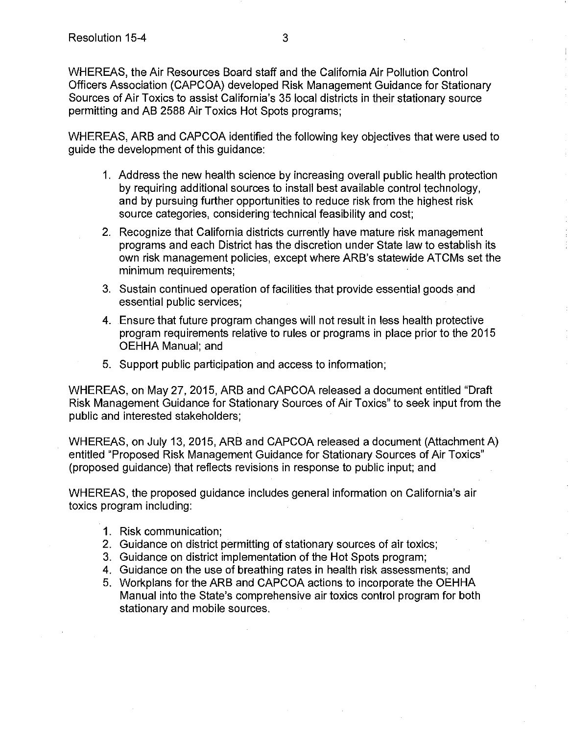WHEREAS, the Air Resources Board staff and the California Air Pollution Control Officers Association (CAPCOA) developed Risk Management Guidance for Stationary Sources of Air Toxics to assist California's 35 local districts in their stationary source permitting and AB 2588 Air Toxics Hot Spots programs;

WHEREAS, ARB and CAPCOA identified the following key objectives that were used to guide the development of this guidance:

- 1. Address the new health science by increasing overall public health protection by requiring additional sources to install best available control technology, and by pursuing further opportunities to reduce risk from the highest risk source categories, considering technical feasibility and cost;
- 2. Recognize that California districts currently have mature risk management programs and each District has the discretion under State law to establish its own risk management policies, except where ARB's statewide ATCMs set the minimum requirements;
- 3. Sustain continued operation of facilities that provide essential goods and essential public services;
- 4. Ensure that future program changes will not result in less health protective program requirements relative to rules or programs in place prior to the 2015 OEHHA Manual; and
- 5. Support public participation and access to information;

WHEREAS, on May 27, 2015, ARB and CAPCOA released a document entitled "Draft Risk Management Guidance for Stationary Sources of Air Toxics" to seek input from the public and interested stakeholders;

WHEREAS, on July 13, 2015, ARB and CAPCOA released a document (Attachment A) entitled "Proposed Risk Management Guidance for Stationary Sources of Air Toxics" (proposed guidance) that reflects revisions in response to public input; and

WHEREAS, the proposed guidance includes general information on California's air toxics program including:

- 1. Risk communication;
- 2. Guidance on district permitting of stationary sources of air toxics;
- 3. Guidance on district implementation of the Hot Spots program;
- 4. Guidance on the use of breathing rates in health risk assessments; and
- 5. Workplans for the ARB and CAPCOA actions to incorporate the OEHHA Manual into the State's comprehensive air toxics control program for both stationary and mobile sources.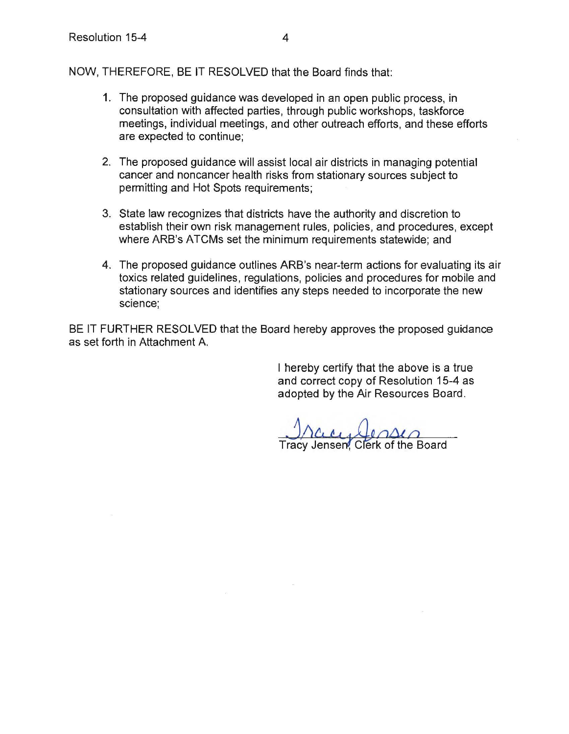NOW, THEREFORE, BE IT RESOLVED that the Board finds that:

- 1. The proposed guidance was developed in an open public process, in consultation with affected parties, through public workshops, taskforce meetings, individual meetings, and other outreach efforts, and these efforts are expected to continue;
- 2. The proposed guidance will assist local air districts in managing potential cancer and noncancer health risks from stationary sources subject to permitting and Hot Spots requirements;
- 3. State law recognizes that districts have the authority and discretion to establish their own risk management rules, policies, and procedures, except where ARB's ATCMs set the minimum requirements statewide; and
- 4. The proposed guidance outlines ARB's near-term actions for evaluating its air toxics related guidelines, regulations, policies and procedures for mobile and stationary sources and identifies any steps needed to incorporate the new science;

BE IT FURTHER RESOLVED that the Board hereby approves the proposed guidance as set forth in Attachment A

> I hereby certify that the above is a true and correct copy of Resolution 15-4 as adopted by the Air Resources Board.

Tracy Jensen. Clerk of the Board